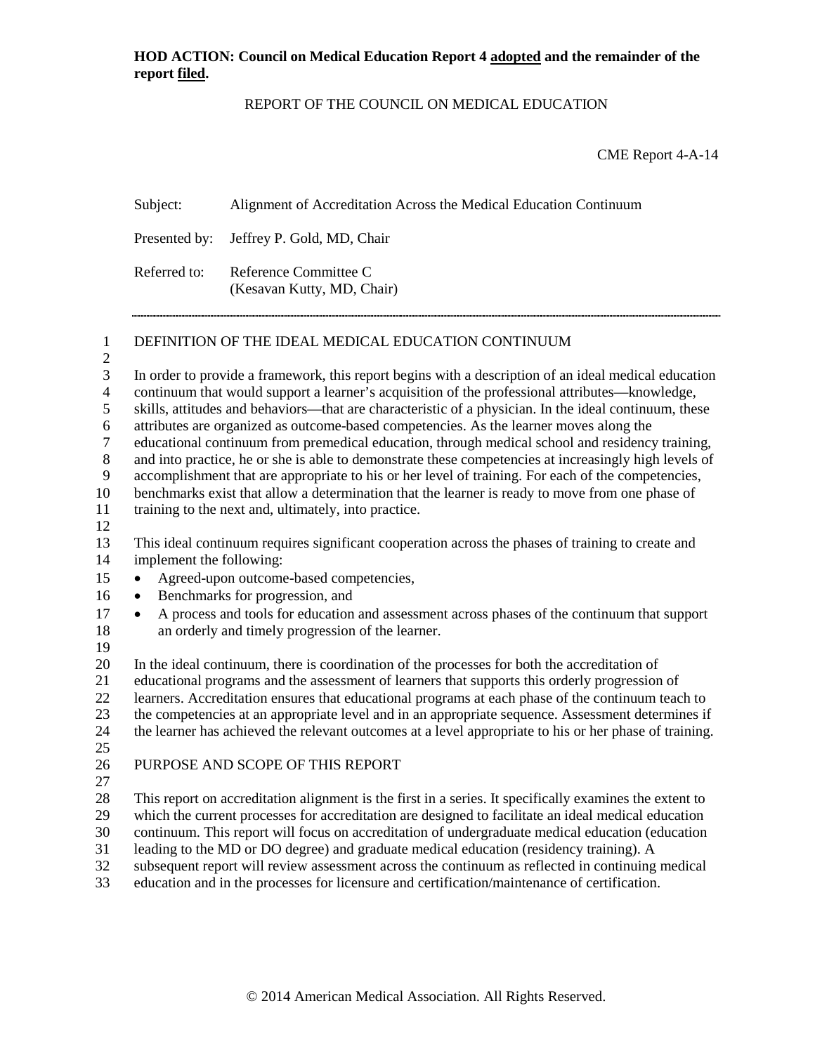Subject: Alignment of Accreditation Across the Medical Education Continuum

### REPORT OF THE COUNCIL ON MEDICAL EDUCATION

CME Report 4-A-14

Presented by: Jeffrey P. Gold, MD, Chair Referred to: Reference Committee C (Kesavan Kutty, MD, Chair) DEFINITION OF THE IDEAL MEDICAL EDUCATION CONTINUUM In order to provide a framework, this report begins with a description of an ideal medical education continuum that would support a learner's acquisition of the professional attributes—knowledge, skills, attitudes and behaviors—that are characteristic of a physician. In the ideal continuum, these attributes are organized as outcome-based competencies. As the learner moves along the 27 educational continuum from premedical education, through medical school and residency training,<br>28 and into practice, he or she is able to demonstrate these competencies at increasingly high levels of and into practice, he or she is able to demonstrate these competencies at increasingly high levels of accomplishment that are appropriate to his or her level of training. For each of the competencies, benchmarks exist that allow a determination that the learner is ready to move from one phase of training to the next and, ultimately, into practice. This ideal continuum requires significant cooperation across the phases of training to create and implement the following: • Agreed-upon outcome-based competencies, • Benchmarks for progression, and • A process and tools for education and assessment across phases of the continuum that support an orderly and timely progression of the learner. In the ideal continuum, there is coordination of the processes for both the accreditation of educational programs and the assessment of learners that supports this orderly progression of learners. Accreditation ensures that educational programs at each phase of the continuum teach to the competencies at an appropriate level and in an appropriate sequence. Assessment determines if the learner has achieved the relevant outcomes at a level appropriate to his or her phase of training. PURPOSE AND SCOPE OF THIS REPORT This report on accreditation alignment is the first in a series. It specifically examines the extent to which the current processes for accreditation are designed to facilitate an ideal medical education 30 continuum. This report will focus on accreditation of undergraduate medical education (education leading to the MD or DO degree) and graduate medical education (residency training). A leading to the MD or DO degree) and graduate medical education (residency training). A subsequent report will review assessment across the continuum as reflected in continuing medical

education and in the processes for licensure and certification/maintenance of certification.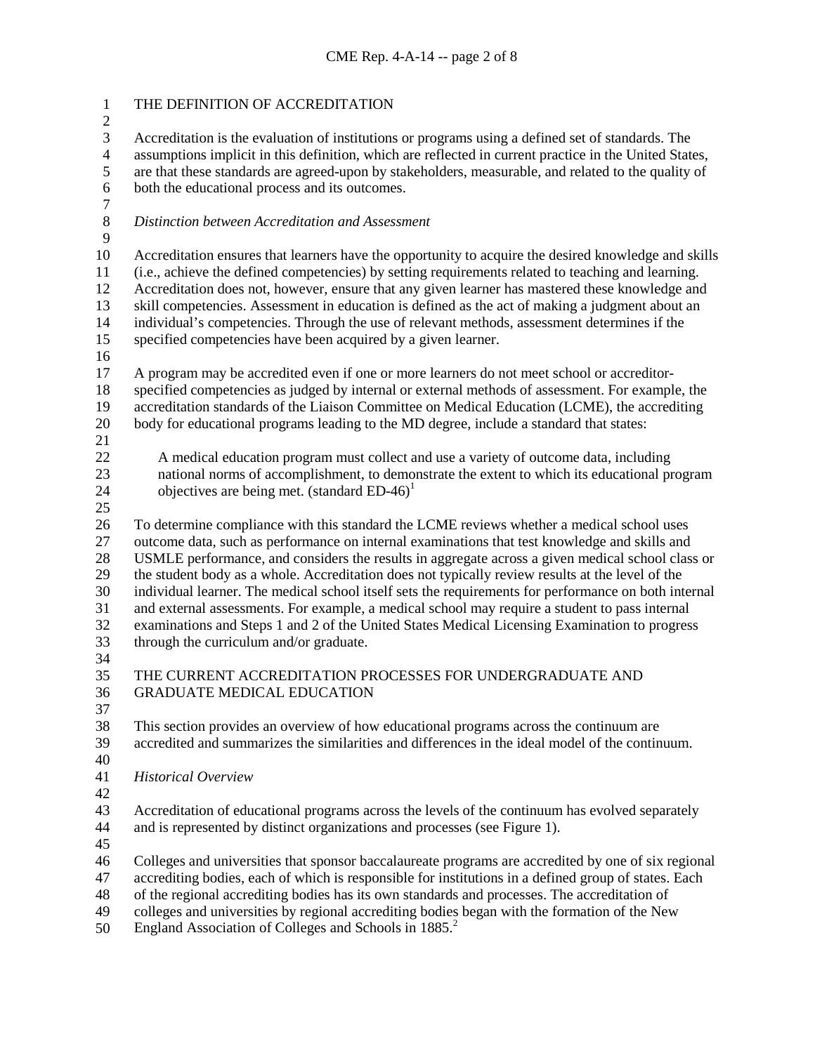| $\mathbf{1}$<br>$\mathbf{2}$ | THE DEFINITION OF ACCREDITATION                                                                        |  |  |  |
|------------------------------|--------------------------------------------------------------------------------------------------------|--|--|--|
| 3                            | Accreditation is the evaluation of institutions or programs using a defined set of standards. The      |  |  |  |
| $\overline{\mathcal{L}}$     | assumptions implicit in this definition, which are reflected in current practice in the United States, |  |  |  |
| 5                            | are that these standards are agreed-upon by stakeholders, measurable, and related to the quality of    |  |  |  |
| $\sqrt{6}$                   | both the educational process and its outcomes.                                                         |  |  |  |
| $\boldsymbol{7}$             |                                                                                                        |  |  |  |
| $8\,$                        | Distinction between Accreditation and Assessment                                                       |  |  |  |
| 9                            |                                                                                                        |  |  |  |
| 10                           | Accreditation ensures that learners have the opportunity to acquire the desired knowledge and skills   |  |  |  |
| 11                           | (i.e., achieve the defined competencies) by setting requirements related to teaching and learning.     |  |  |  |
| 12                           | Accreditation does not, however, ensure that any given learner has mastered these knowledge and        |  |  |  |
| 13                           | skill competencies. Assessment in education is defined as the act of making a judgment about an        |  |  |  |
| 14                           | individual's competencies. Through the use of relevant methods, assessment determines if the           |  |  |  |
| 15                           | specified competencies have been acquired by a given learner.                                          |  |  |  |
| 16                           |                                                                                                        |  |  |  |
| 17                           | A program may be accredited even if one or more learners do not meet school or accreditor-             |  |  |  |
| 18                           | specified competencies as judged by internal or external methods of assessment. For example, the       |  |  |  |
| 19                           | accreditation standards of the Liaison Committee on Medical Education (LCME), the accrediting          |  |  |  |
| 20                           | body for educational programs leading to the MD degree, include a standard that states:                |  |  |  |
| 21                           |                                                                                                        |  |  |  |
| 22                           | A medical education program must collect and use a variety of outcome data, including                  |  |  |  |
| 23                           | national norms of accomplishment, to demonstrate the extent to which its educational program           |  |  |  |
| 24                           | objectives are being met. (standard $ED-46$ ) <sup>1</sup>                                             |  |  |  |
| 25                           |                                                                                                        |  |  |  |
| 26                           | To determine compliance with this standard the LCME reviews whether a medical school uses              |  |  |  |
| 27                           | outcome data, such as performance on internal examinations that test knowledge and skills and          |  |  |  |
| 28                           | USMLE performance, and considers the results in aggregate across a given medical school class or       |  |  |  |
| 29                           | the student body as a whole. Accreditation does not typically review results at the level of the       |  |  |  |
| 30                           | individual learner. The medical school itself sets the requirements for performance on both internal   |  |  |  |
| 31                           | and external assessments. For example, a medical school may require a student to pass internal         |  |  |  |
| 32                           | examinations and Steps 1 and 2 of the United States Medical Licensing Examination to progress          |  |  |  |
| 33                           | through the curriculum and/or graduate.                                                                |  |  |  |
| 34                           |                                                                                                        |  |  |  |
| 35                           | THE CURRENT ACCREDITATION PROCESSES FOR UNDERGRADUATE AND                                              |  |  |  |
| 36                           | <b>GRADUATE MEDICAL EDUCATION</b>                                                                      |  |  |  |
| 37                           |                                                                                                        |  |  |  |
| 38                           | This section provides an overview of how educational programs across the continuum are                 |  |  |  |
| 39                           | accredited and summarizes the similarities and differences in the ideal model of the continuum.        |  |  |  |
| 40                           |                                                                                                        |  |  |  |
| 41                           | <b>Historical Overview</b>                                                                             |  |  |  |
| 42                           |                                                                                                        |  |  |  |
| 43                           | Accreditation of educational programs across the levels of the continuum has evolved separately        |  |  |  |
| 44                           | and is represented by distinct organizations and processes (see Figure 1).                             |  |  |  |
| 45                           |                                                                                                        |  |  |  |
| 46                           | Colleges and universities that sponsor baccalaureate programs are accredited by one of six regional    |  |  |  |
| 47                           | accrediting bodies, each of which is responsible for institutions in a defined group of states. Each   |  |  |  |
| 48                           | of the regional accrediting bodies has its own standards and processes. The accreditation of           |  |  |  |
| 49                           | colleges and universities by regional accrediting bodies began with the formation of the New           |  |  |  |

50 England Association of Colleges and Schools in 1885.<sup>2</sup>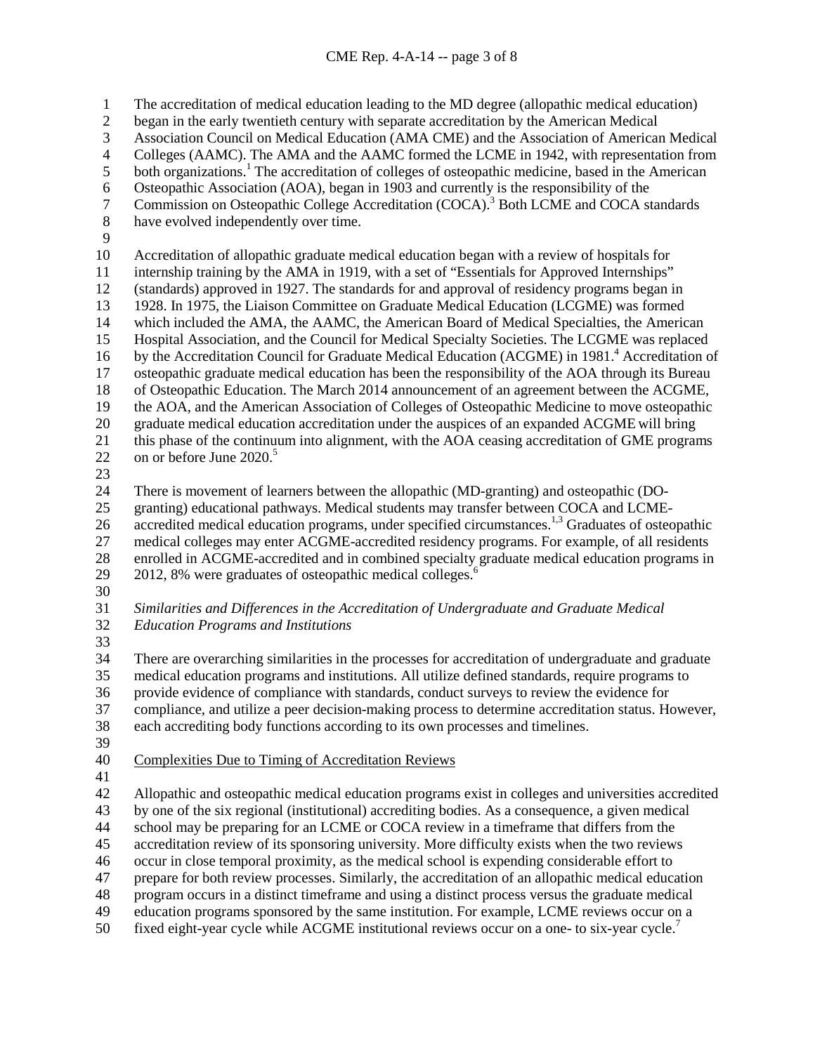The accreditation of medical education leading to the MD degree (allopathic medical education) began in the early twentieth century with separate accreditation by the American Medical Association Council on Medical Education (AMA CME) and the Association of American Medical 4 Colleges (AAMC). The AMA and the AAMC formed the LCME in 1942, with representation from<br>5 both organizations.<sup>1</sup> The accreditation of colleges of osteopathic medicine, based in the American both organizations.<sup>1</sup> The accreditation of colleges of osteopathic medicine, based in the American 6 Osteopathic Association (AOA), began in 1903 and currently is the responsibility of the<br>7 Commission on Osteopathic College Accreditation (COCA).<sup>3</sup> Both LCME and COCA st 7 Commission on Osteopathic College Accreditation (COCA).<sup>3</sup> Both LCME and COCA standards have evolved independently over time. Accreditation of allopathic graduate medical education began with a review of hospitals for internship training by the AMA in 1919, with a set of "Essentials for Approved Internships" (standards) approved in 1927. The standards for and approval of residency programs began in 13 1928. In 1975, the Liaison Committee on Graduate Medical Education (LCGME) was formed<br>14 which included the AMA, the AAMC, the American Board of Medical Specialties, the Americ which included the AMA, the AAMC, the American Board of Medical Specialties, the American Hospital Association, and the Council for Medical Specialty Societies. The LCGME was replaced 16 by the Accreditation Council for Graduate Medical Education (ACGME) in 1981.<sup>4</sup> Accreditation of osteopathic graduate medical education has been the responsibility of the AOA through its Bureau of Osteopathic Education. The March 2014 announcement of an agreement between the ACGME, the AOA, and the American Association of Colleges of Osteopathic Medicine to move osteopathic graduate medical education accreditation under the auspices of an expanded ACGME will bring this phase of the continuum into alignment, with the AOA ceasing accreditation of GME programs 22 on or before June <sup>5</sup> There is movement of learners between the allopathic (MD-granting) and osteopathic (DO- granting) educational pathways. Medical students may transfer between COCA and LCME-26 accredited medical education programs, under specified circumstances.<sup>1,3</sup> Graduates of osteopathic medical colleges may enter ACGME-accredited residency programs. For example, of all residents 28 enrolled in ACGME-accredited and in combined specialty graduate medical education programs in<br>29 2012, 8% were graduates of osteopathic medical colleges.<sup>6</sup> 2012, 8% were graduates of osteopathic medical colleges. $<sup>6</sup>$ </sup> *Similarities and Differences in the Accreditation of Undergraduate and Graduate Medical Education Programs and Institutions* There are overarching similarities in the processes for accreditation of undergraduate and graduate medical education programs and institutions. All utilize defined standards, require programs to provide evidence of compliance with standards, conduct surveys to review the evidence for compliance, and utilize a peer decision-making process to determine accreditation status. However, each accrediting body functions according to its own processes and timelines. Complexities Due to Timing of Accreditation Reviews Allopathic and osteopathic medical education programs exist in colleges and universities accredited by one of the six regional (institutional) accrediting bodies. As a consequence, a given medical school may be preparing for an LCME or COCA review in a timeframe that differs from the accreditation review of its sponsoring university. More difficulty exists when the two reviews occur in close temporal proximity, as the medical school is expending considerable effort to prepare for both review processes. Similarly, the accreditation of an allopathic medical education program occurs in a distinct timeframe and using a distinct process versus the graduate medical education programs sponsored by the same institution. For example, LCME reviews occur on a

50 fixed eight-year cycle while ACGME institutional reviews occur on a one- to six-year cycle.<sup>7</sup>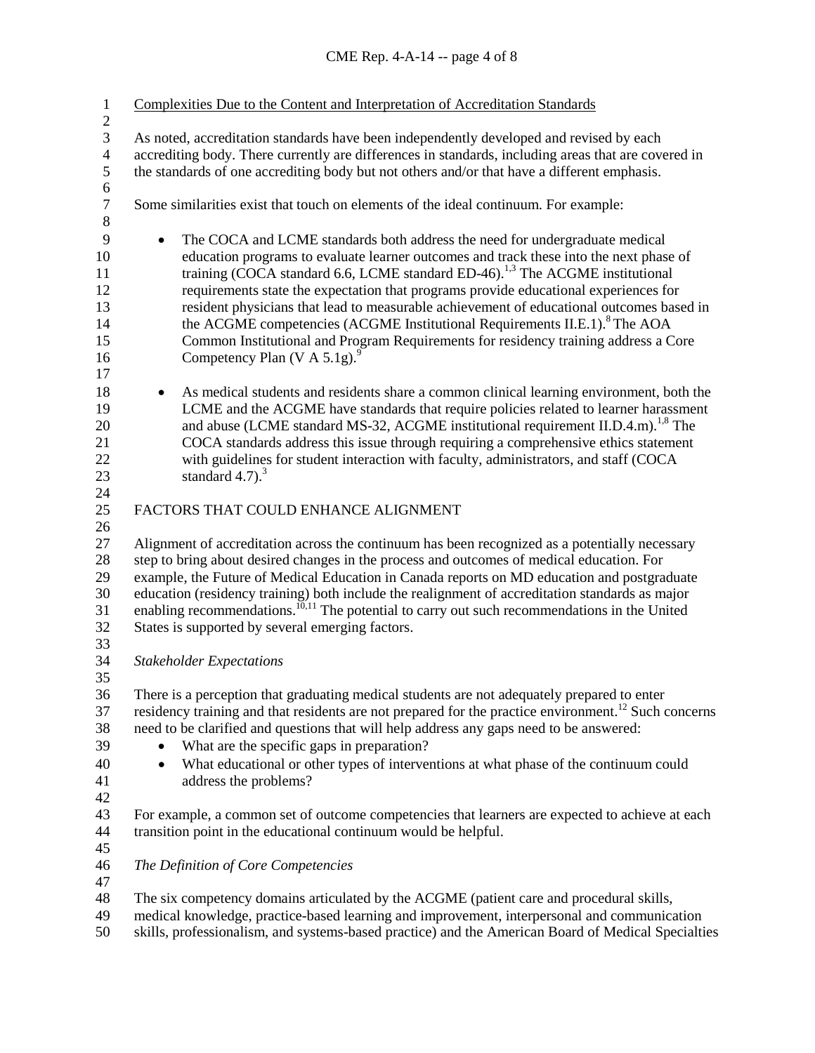| $\mathbf{1}$<br>$\mathbf{2}$ | Complexities Due to the Content and Interpretation of Accreditation Standards                                    |  |  |  |  |
|------------------------------|------------------------------------------------------------------------------------------------------------------|--|--|--|--|
| $\overline{3}$               | As noted, accreditation standards have been independently developed and revised by each                          |  |  |  |  |
| $\overline{\mathcal{L}}$     | accrediting body. There currently are differences in standards, including areas that are covered in              |  |  |  |  |
| 5                            | the standards of one accrediting body but not others and/or that have a different emphasis.                      |  |  |  |  |
| 6                            |                                                                                                                  |  |  |  |  |
| $\boldsymbol{7}$             | Some similarities exist that touch on elements of the ideal continuum. For example:                              |  |  |  |  |
| $8\,$                        |                                                                                                                  |  |  |  |  |
| 9                            | The COCA and LCME standards both address the need for undergraduate medical                                      |  |  |  |  |
| 10                           | education programs to evaluate learner outcomes and track these into the next phase of                           |  |  |  |  |
| 11                           | training (COCA standard 6.6, LCME standard ED-46). <sup>1,3</sup> The ACGME institutional                        |  |  |  |  |
| 12                           | requirements state the expectation that programs provide educational experiences for                             |  |  |  |  |
| 13                           | resident physicians that lead to measurable achievement of educational outcomes based in                         |  |  |  |  |
| 14                           | the ACGME competencies (ACGME Institutional Requirements II.E.1). <sup>8</sup> The AOA                           |  |  |  |  |
| 15                           | Common Institutional and Program Requirements for residency training address a Core                              |  |  |  |  |
| 16                           | Competency Plan (V A 5.1g). $^{9}$                                                                               |  |  |  |  |
| 17                           |                                                                                                                  |  |  |  |  |
| $18\,$                       | As medical students and residents share a common clinical learning environment, both the<br>٠                    |  |  |  |  |
| 19                           | LCME and the ACGME have standards that require policies related to learner harassment                            |  |  |  |  |
| 20                           | and abuse (LCME standard MS-32, ACGME institutional requirement II.D.4.m). <sup>1,8</sup> The                    |  |  |  |  |
| 21                           | COCA standards address this issue through requiring a comprehensive ethics statement                             |  |  |  |  |
| 22                           | with guidelines for student interaction with faculty, administrators, and staff (COCA                            |  |  |  |  |
| 23                           | standard $4.7$ ). <sup>3</sup>                                                                                   |  |  |  |  |
| 24                           |                                                                                                                  |  |  |  |  |
| 25                           | FACTORS THAT COULD ENHANCE ALIGNMENT                                                                             |  |  |  |  |
| 26                           |                                                                                                                  |  |  |  |  |
| 27                           | Alignment of accreditation across the continuum has been recognized as a potentially necessary                   |  |  |  |  |
| 28                           | step to bring about desired changes in the process and outcomes of medical education. For                        |  |  |  |  |
| 29                           | example, the Future of Medical Education in Canada reports on MD education and postgraduate                      |  |  |  |  |
| 30                           | education (residency training) both include the realignment of accreditation standards as major                  |  |  |  |  |
| 31                           | enabling recommendations. <sup>10,11</sup> The potential to carry out such recommendations in the United         |  |  |  |  |
| 32                           | States is supported by several emerging factors.                                                                 |  |  |  |  |
| 33                           |                                                                                                                  |  |  |  |  |
| 34                           | <b>Stakeholder Expectations</b>                                                                                  |  |  |  |  |
| 35                           |                                                                                                                  |  |  |  |  |
| 36                           | There is a perception that graduating medical students are not adequately prepared to enter                      |  |  |  |  |
| 37                           | residency training and that residents are not prepared for the practice environment. <sup>12</sup> Such concerns |  |  |  |  |
| 38                           | need to be clarified and questions that will help address any gaps need to be answered:                          |  |  |  |  |
| 39                           | What are the specific gaps in preparation?                                                                       |  |  |  |  |
| 40                           | What educational or other types of interventions at what phase of the continuum could<br>٠                       |  |  |  |  |
| 41                           | address the problems?                                                                                            |  |  |  |  |
| 42                           |                                                                                                                  |  |  |  |  |
| 43                           | For example, a common set of outcome competencies that learners are expected to achieve at each                  |  |  |  |  |
| 44                           | transition point in the educational continuum would be helpful.                                                  |  |  |  |  |
| 45                           |                                                                                                                  |  |  |  |  |
| 46<br>47                     | The Definition of Core Competencies                                                                              |  |  |  |  |
| 48                           | The six competency domains articulated by the ACGME (patient care and procedural skills,                         |  |  |  |  |
| 49                           | medical knowledge, practice-based learning and improvement, interpersonal and communication                      |  |  |  |  |
|                              |                                                                                                                  |  |  |  |  |

skills, professionalism, and systems-based practice) and the American Board of Medical Specialties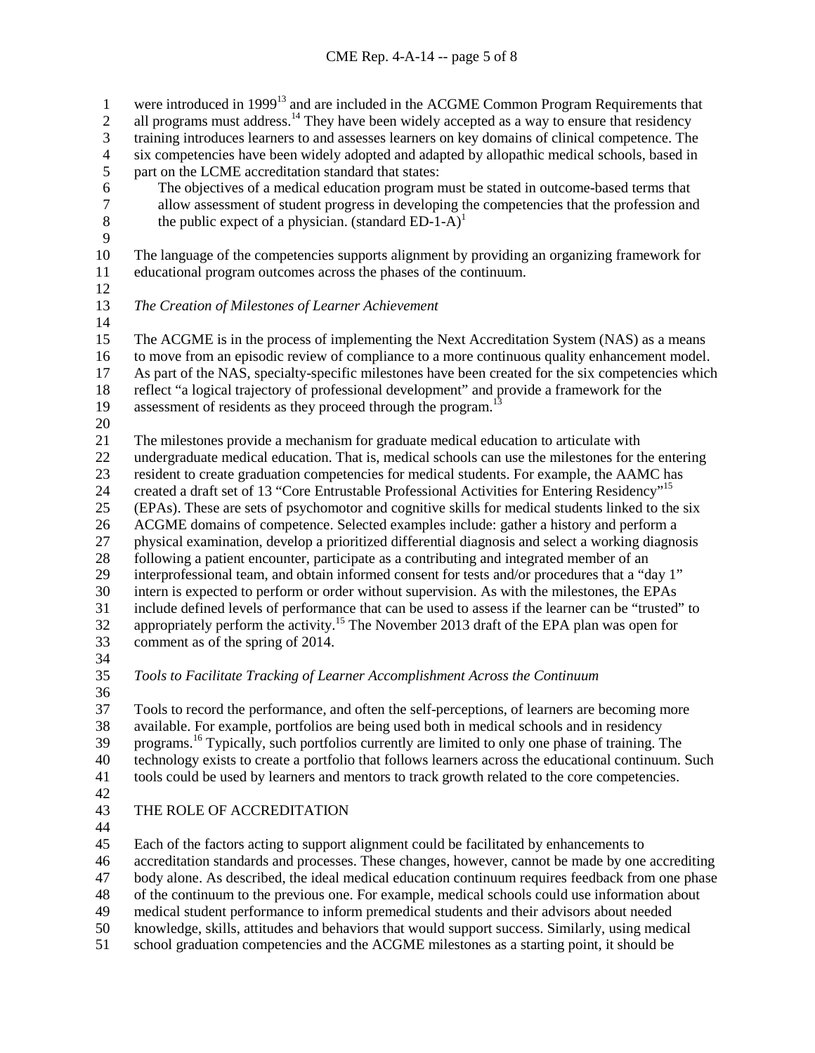1 were introduced in 1999<sup>13</sup> and are included in the ACGME Common Program Requirements that 2 all programs must address.<sup>14</sup> They have been widely accepted as a way to ensure that residency 3 training introduces learners to and assesses learners on key domains of clinical competence. The<br>4 six competencies have been widely adopted and adapted by allopathic medical schools, based in 4 six competencies have been widely adopted and adapted by allopathic medical schools, based in part on the LCME accreditation standard that states: part on the LCME accreditation standard that states: 6 The objectives of a medical education program must be stated in outcome-based terms that allow assessment of student progress in developing the competencies that the profession and 7 allow assessment of student progress in developing the competencies that the profession and the public expect of a physician. (standard ED-1-A)<sup>1</sup> the public expect of a physician. (standard ED-1-A)<sup>1</sup> The language of the competencies supports alignment by providing an organizing framework for educational program outcomes across the phases of the continuum. *The Creation of Milestones of Learner Achievement* The ACGME is in the process of implementing the Next Accreditation System (NAS) as a means to move from an episodic review of compliance to a more continuous quality enhancement model. As part of the NAS, specialty-specific milestones have been created for the six competencies which reflect "a logical trajectory of professional development" and provide a framework for the 19 assessment of residents as they proceed through the program.<sup>1</sup> The milestones provide a mechanism for graduate medical education to articulate with undergraduate medical education. That is, medical schools can use the milestones for the entering resident to create graduation competencies for medical students. For example, the AAMC has 24 created a draft set of 13 "Core Entrustable Professional Activities for Entering Residency"<sup>15</sup> (EPAs). These are sets of psychomotor and cognitive skills for medical students linked to the six ACGME domains of competence. Selected examples include: gather a history and perform a physical examination, develop a prioritized differential diagnosis and select a working diagnosis 28 following a patient encounter, participate as a contributing and integrated member of an<br>29 interprofessional team, and obtain informed consent for tests and/or procedures that a "d interprofessional team, and obtain informed consent for tests and/or procedures that a "day 1" intern is expected to perform or order without supervision. As with the milestones, the EPAs include defined levels of performance that can be used to assess if the learner can be "trusted" to 32 appropriately perform the activity.<sup>15</sup> The November 2013 draft of the EPA plan was open for comment as of the spring of 2014. *Tools to Facilitate Tracking of Learner Accomplishment Across the Continuum* 

 Tools to record the performance, and often the self-perceptions, of learners are becoming more available. For example, portfolios are being used both in medical schools and in residency 39 programs.<sup>16</sup> Typically, such portfolios currently are limited to only one phase of training. The technology exists to create a portfolio that follows learners across the educational continuum. Such tools could be used by learners and mentors to track growth related to the core competencies.

# THE ROLE OF ACCREDITATION

Each of the factors acting to support alignment could be facilitated by enhancements to

accreditation standards and processes. These changes, however, cannot be made by one accrediting

body alone. As described, the ideal medical education continuum requires feedback from one phase

of the continuum to the previous one. For example, medical schools could use information about

medical student performance to inform premedical students and their advisors about needed

knowledge, skills, attitudes and behaviors that would support success. Similarly, using medical

school graduation competencies and the ACGME milestones as a starting point, it should be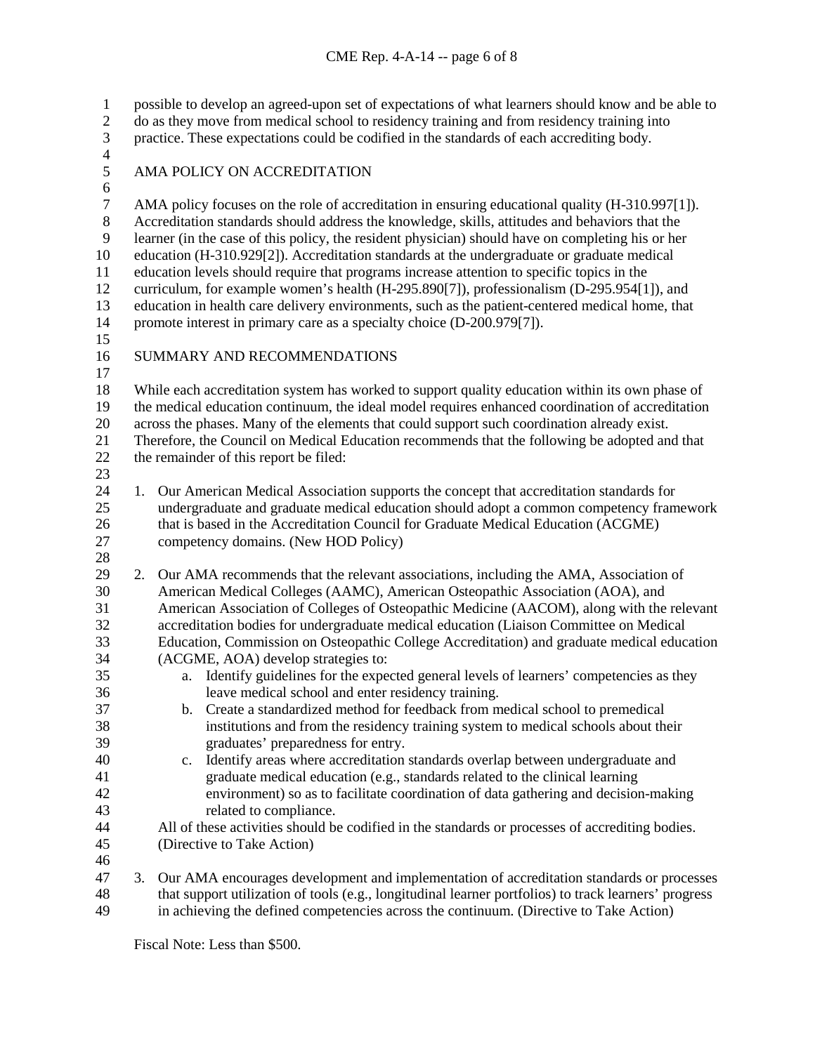possible to develop an agreed-upon set of expectations of what learners should know and be able to do as they move from medical school to residency training and from residency training into practice. These expectations could be codified in the standards of each accrediting body. 4<br>5 AMA POLICY ON ACCREDITATION 6<br>7 7 AMA policy focuses on the role of accreditation in ensuring educational quality (H-310.997[1]).<br>8 Accreditation standards should address the knowledge, skills, attitudes and behaviors that the Accreditation standards should address the knowledge, skills, attitudes and behaviors that the learner (in the case of this policy, the resident physician) should have on completing his or her education (H-310.929[2]). Accreditation standards at the undergraduate or graduate medical education levels should require that programs increase attention to specific topics in the curriculum, for example women's health (H-295.890[7]), professionalism (D-295.954[1]), and 13 education in health care delivery environments, such as the patient-centered medical home, that<br>14 promote interest in primary care as a specialty choice (D-200.979[7]). promote interest in primary care as a specialty choice (D-200.979[7]). SUMMARY AND RECOMMENDATIONS While each accreditation system has worked to support quality education within its own phase of the medical education continuum, the ideal model requires enhanced coordination of accreditation 20 across the phases. Many of the elements that could support such coordination already exist.<br>21 Therefore, the Council on Medical Education recommends that the following be adopted an Therefore, the Council on Medical Education recommends that the following be adopted and that the remainder of this report be filed: 1. Our American Medical Association supports the concept that accreditation standards for undergraduate and graduate medical education should adopt a common competency framework that is based in the Accreditation Council for Graduate Medical Education (ACGME) competency domains. (New HOD Policy) 2. Our AMA recommends that the relevant associations, including the AMA, Association of American Medical Colleges (AAMC), American Osteopathic Association (AOA), and American Association of Colleges of Osteopathic Medicine (AACOM), along with the relevant accreditation bodies for undergraduate medical education (Liaison Committee on Medical Education, Commission on Osteopathic College Accreditation) and graduate medical education (ACGME, AOA) develop strategies to: a. Identify guidelines for the expected general levels of learners' competencies as they leave medical school and enter residency training. b. Create a standardized method for feedback from medical school to premedical institutions and from the residency training system to medical schools about their graduates' preparedness for entry. c. Identify areas where accreditation standards overlap between undergraduate and graduate medical education (e.g., standards related to the clinical learning environment) so as to facilitate coordination of data gathering and decision-making related to compliance. All of these activities should be codified in the standards or processes of accrediting bodies. (Directive to Take Action) 3. Our AMA encourages development and implementation of accreditation standards or processes that support utilization of tools (e.g., longitudinal learner portfolios) to track learners' progress in achieving the defined competencies across the continuum. (Directive to Take Action)

Fiscal Note: Less than \$500.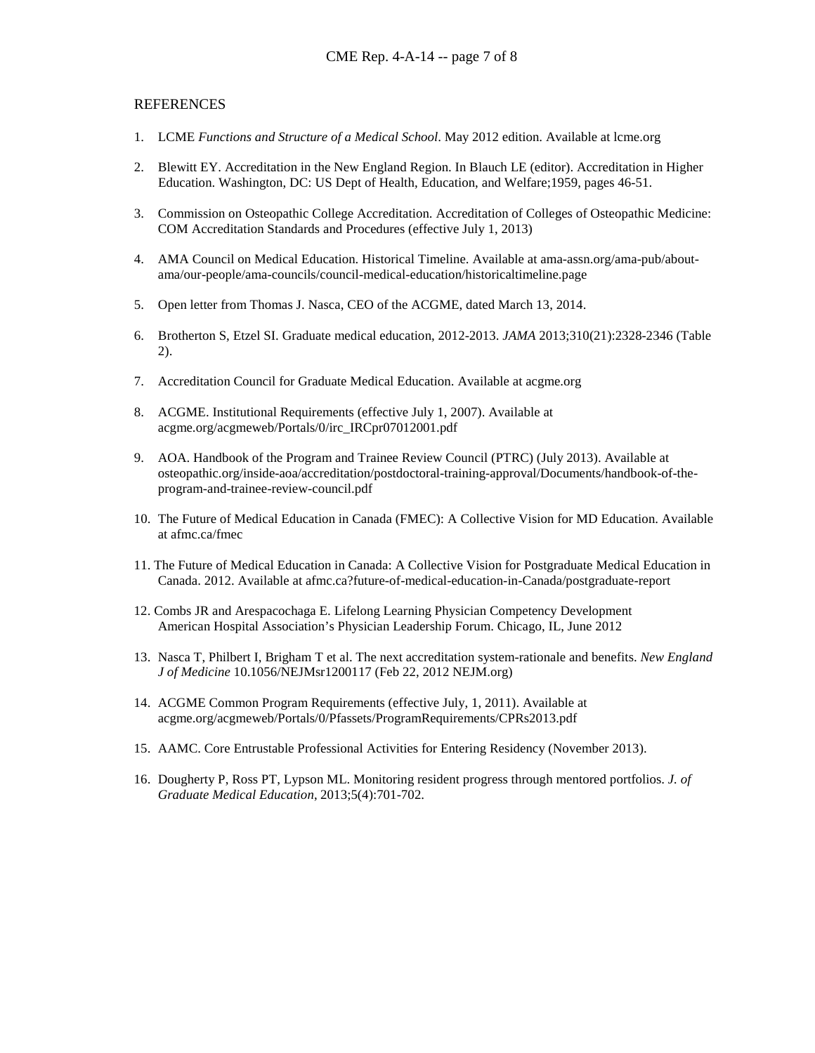#### **REFERENCES**

- 1. LCME *Functions and Structure of a Medical School*. May 2012 edition. Available at lcme.org
- 2. Blewitt EY. Accreditation in the New England Region. In Blauch LE (editor). Accreditation in Higher Education. Washington, DC: US Dept of Health, Education, and Welfare;1959, pages 46-51.
- 3. Commission on Osteopathic College Accreditation. Accreditation of Colleges of Osteopathic Medicine: COM Accreditation Standards and Procedures (effective July 1, 2013)
- 4. AMA Council on Medical Education. Historical Timeline. Available at ama-assn.org/ama-pub/aboutama/our-people/ama-councils/council-medical-education/historicaltimeline.page
- 5. Open letter from Thomas J. Nasca, CEO of the ACGME, dated March 13, 2014.
- 6. Brotherton S, Etzel SI. Graduate medical education, 2012-2013. *JAMA* 2013;310(21):2328-2346 (Table 2).
- 7. Accreditation Council for Graduate Medical Education. Available at acgme.org
- 8. ACGME. Institutional Requirements (effective July 1, 2007). Available at acgme.org/acgmeweb/Portals/0/irc\_IRCpr07012001.pdf
- 9. AOA. Handbook of the Program and Trainee Review Council (PTRC) (July 2013). Available at osteopathic.org/inside-aoa/accreditation/postdoctoral-training-approval/Documents/handbook-of-theprogram-and-trainee-review-council.pdf
- 10. The Future of Medical Education in Canada (FMEC): A Collective Vision for MD Education. Available at afmc.ca/fmec
- 11. The Future of Medical Education in Canada: A Collective Vision for Postgraduate Medical Education in Canada. 2012. Available at afmc.ca?future-of-medical-education-in-Canada/postgraduate-report
- 12. Combs JR and Arespacochaga E. Lifelong Learning Physician Competency Development American Hospital Association's Physician Leadership Forum. Chicago, IL, June 2012
- 13. Nasca T, Philbert I, Brigham T et al. The next accreditation system-rationale and benefits. *New England J of Medicine* 10.1056/NEJMsr1200117 (Feb 22, 2012 NEJM.org)
- 14. ACGME Common Program Requirements (effective July, 1, 2011). Available at acgme.org/acgmeweb/Portals/0/Pfassets/ProgramRequirements/CPRs2013.pdf
- 15. AAMC. Core Entrustable Professional Activities for Entering Residency (November 2013).
- 16. Dougherty P, Ross PT, Lypson ML. Monitoring resident progress through mentored portfolios. *J. of Graduate Medical Education*, 2013;5(4):701-702.